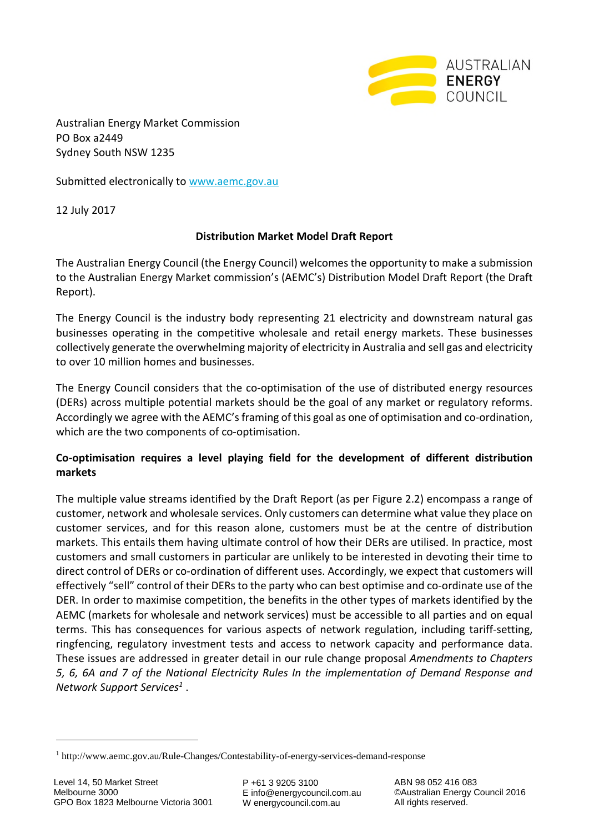

Australian Energy Market Commission PO Box a2449 Sydney South NSW 1235

Submitted electronically to [www.aemc.gov.au](http://www.aemc.gov.au/)

12 July 2017

## **Distribution Market Model Draft Report**

The Australian Energy Council (the Energy Council) welcomes the opportunity to make a submission to the Australian Energy Market commission's (AEMC's) Distribution Model Draft Report (the Draft Report).

The Energy Council is the industry body representing 21 electricity and downstream natural gas businesses operating in the competitive wholesale and retail energy markets. These businesses collectively generate the overwhelming majority of electricity in Australia and sell gas and electricity to over 10 million homes and businesses.

The Energy Council considers that the co-optimisation of the use of distributed energy resources (DERs) across multiple potential markets should be the goal of any market or regulatory reforms. Accordingly we agree with the AEMC's framing of this goal as one of optimisation and co-ordination, which are the two components of co-optimisation.

## **Co-optimisation requires a level playing field for the development of different distribution markets**

The multiple value streams identified by the Draft Report (as per Figure 2.2) encompass a range of customer, network and wholesale services. Only customers can determine what value they place on customer services, and for this reason alone, customers must be at the centre of distribution markets. This entails them having ultimate control of how their DERs are utilised. In practice, most customers and small customers in particular are unlikely to be interested in devoting their time to direct control of DERs or co-ordination of different uses. Accordingly, we expect that customers will effectively "sell" control of their DERs to the party who can best optimise and co-ordinate use of the DER. In order to maximise competition, the benefits in the other types of markets identified by the AEMC (markets for wholesale and network services) must be accessible to all parties and on equal terms. This has consequences for various aspects of network regulation, including tariff-setting, ringfencing, regulatory investment tests and access to network capacity and performance data. These issues are addressed in greater detail in our rule change proposal *Amendments to Chapters 5, 6, 6A and 7 of the National Electricity Rules In the implementation of Demand Response and Network Support Services[1](#page-0-0)* .

P +61 3 9205 3100 E info@energycouncil.com.au W energycouncil.com.au

<span id="page-0-0"></span><sup>1</sup> http://www.aemc.gov.au/Rule-Changes/Contestability-of-energy-services-demand-response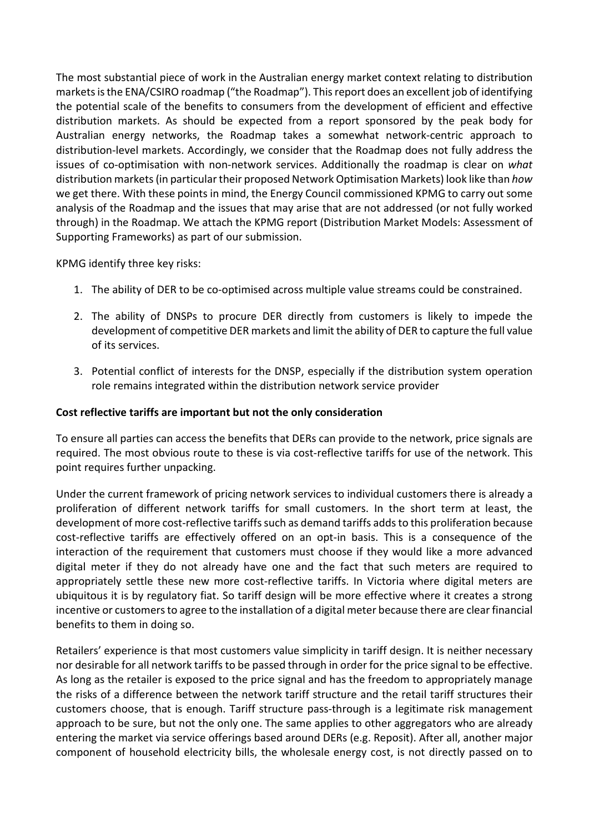The most substantial piece of work in the Australian energy market context relating to distribution markets is the ENA/CSIRO roadmap ("the Roadmap"). This report does an excellent job of identifying the potential scale of the benefits to consumers from the development of efficient and effective distribution markets. As should be expected from a report sponsored by the peak body for Australian energy networks, the Roadmap takes a somewhat network-centric approach to distribution-level markets. Accordingly, we consider that the Roadmap does not fully address the issues of co-optimisation with non-network services. Additionally the roadmap is clear on *what* distribution markets (in particular their proposed Network Optimisation Markets) look like than *how* we get there. With these points in mind, the Energy Council commissioned KPMG to carry out some analysis of the Roadmap and the issues that may arise that are not addressed (or not fully worked through) in the Roadmap. We attach the KPMG report (Distribution Market Models: Assessment of Supporting Frameworks) as part of our submission.

KPMG identify three key risks:

- 1. The ability of DER to be co-optimised across multiple value streams could be constrained.
- 2. The ability of DNSPs to procure DER directly from customers is likely to impede the development of competitive DER markets and limit the ability of DER to capture the full value of its services.
- 3. Potential conflict of interests for the DNSP, especially if the distribution system operation role remains integrated within the distribution network service provider

## **Cost reflective tariffs are important but not the only consideration**

To ensure all parties can access the benefits that DERs can provide to the network, price signals are required. The most obvious route to these is via cost-reflective tariffs for use of the network. This point requires further unpacking.

Under the current framework of pricing network services to individual customers there is already a proliferation of different network tariffs for small customers. In the short term at least, the development of more cost-reflective tariffs such as demand tariffs adds to this proliferation because cost-reflective tariffs are effectively offered on an opt-in basis. This is a consequence of the interaction of the requirement that customers must choose if they would like a more advanced digital meter if they do not already have one and the fact that such meters are required to appropriately settle these new more cost-reflective tariffs. In Victoria where digital meters are ubiquitous it is by regulatory fiat. So tariff design will be more effective where it creates a strong incentive or customers to agree to the installation of a digital meter because there are clear financial benefits to them in doing so.

Retailers' experience is that most customers value simplicity in tariff design. It is neither necessary nor desirable for all network tariffs to be passed through in order for the price signal to be effective. As long as the retailer is exposed to the price signal and has the freedom to appropriately manage the risks of a difference between the network tariff structure and the retail tariff structures their customers choose, that is enough. Tariff structure pass-through is a legitimate risk management approach to be sure, but not the only one. The same applies to other aggregators who are already entering the market via service offerings based around DERs (e.g. Reposit). After all, another major component of household electricity bills, the wholesale energy cost, is not directly passed on to